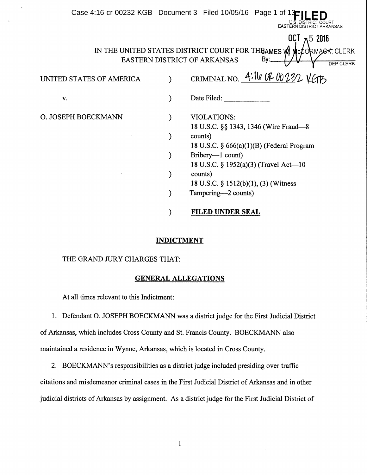|                          | Case 4:16-cr-00232-KGB Document 3 Filed 10/05/16 Page 1 of<br>EASTER                                                                               |
|--------------------------|----------------------------------------------------------------------------------------------------------------------------------------------------|
|                          | OCT $\pi$ 5 2016<br>IN THE UNITED STATES DISTRICT COURT FOR THEAMES WI McCORMACK, CLERK<br>By:<br>EASTERN DISTRICT OF ARKANSAS<br><b>DEP CLERK</b> |
| UNITED STATES OF AMERICA | CRIMINAL NO. $4.10$ O 232 YGIB                                                                                                                     |
| V.                       | Date Filed:                                                                                                                                        |
| O. JOSEPH BOECKMANN      | <b>VIOLATIONS:</b><br>18 U.S.C. §§ 1343, 1346 (Wire Fraud—8                                                                                        |
|                          | counts)<br>18 U.S.C. $\S$ 666(a)(1)(B) (Federal Program                                                                                            |
|                          | Bribery—1 count)<br>18 U.S.C. § 1952(a)(3) (Travel Act—10                                                                                          |
|                          | counts)<br>18 U.S.C. $\S$ 1512(b)(1), (3) (Witness                                                                                                 |
|                          | Tampering—2 counts)                                                                                                                                |
|                          | <b>FILED UNDER SEAL</b>                                                                                                                            |

## INDICTMENT

# THE GRAND JURY CHARGES THAT:

### GENERAL ALLEGATIONS

At all times relevant to this Indictment:

1. Defendant 0. JOSEPH BOECKMANN was a district judge for the First Judicial District of Arkansas, which includes Cross County and St. Francis County. BOECKMANN also maintained a residence in Wynne, Arkansas, which is located in Cross County.

2. BOECKMANN's responsibilities as a district judge included presiding over traffic citations and misdemeanor criminal cases in the First Judicial District of Arkansas and in other judicial districts of Arkansas by assignment. As a district judge for the First Judicial District of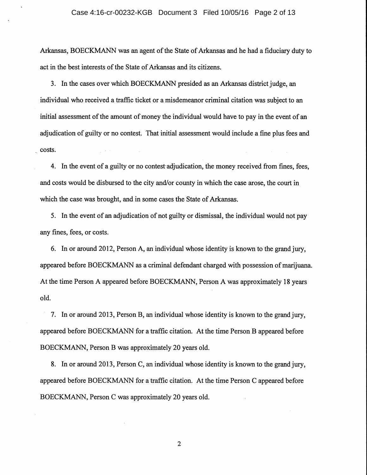Arkansas, BOECKMANN was an agent of the State of Arkansas and he had a fiduciary duty to act in the best interests of the State of Arkansas and its citizens.

3. In the cases over which BOECKMANN presided as an Arkansas district judge, an individual who received a traffic ticket or a misdemeanor criminal citation was subject to an initial assessment of the amount of money the individual would have to pay in the event of an adjudication of guilty or no contest. That initial assessment would include a fine plus fees and costs.

4. In the event of a guilty or no contest adjudication, the money received from fines, fees, and costs would be disbursed to the city and/or county in which the case arose, the court in which the case was brought, and in some cases the State of Arkansas.

5. In the event of an adjudication of not guilty or dismissal, the individual would not pay any fines, fees, or costs.

6. In or around 2012, Person A, an individual whose identity is known to the grand jury, appeared before BOECKMANN as a criminal defendant charged with possession of marijuana. At the time Person A appeared before BOECKMANN, Person A was approximately 18 years old.

7. In or around 2013, Person B, an individual whose identity is known to the grand jury, appeared before BOECKMANN for a traffic citation. At the time Person B appeared before BOECKMANN, Person B was approximately 20 years old.

8. In or around 2013, Person C, an individual whose identity is known to the grand jury, appeared before BOECKMANN for a traffic citation. At the time Person C appeared before BOECKMANN, Person C was approximately 20 years old.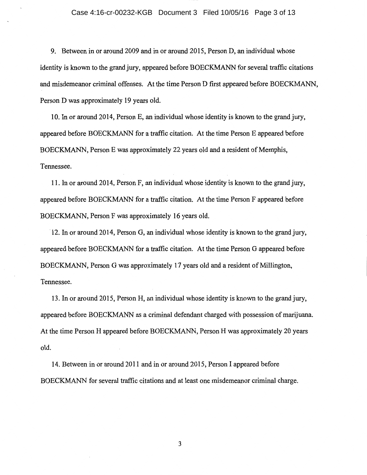9. Between in or around 2009 and in or around 2015, Person D, an individual whose identity is known to the grand jury, appeared before BOECKMANN for several traffic citations and misdemeanor criminal offenses. At the time Person D first appeared before BOECKMANN, Person D was approximately 19 years old.

10. In or around 2014, Person E, an individual whose identity is known to the grand jury, appeared before BOECKMANN for a traffic citation. At the time Person E appeared before BOECKMANN, Person E was approximately 22 years old and a resident of Memphis, Tennessee.

11. In or around 2014, Person F, an individual whose identity is known to the grand jury, appeared before BOECKMANN for a traffic citation. At the time Person F appeared before BOECKMANN, Person F was approximately 16 years old.

· 12. In or around 2014, Person G, an individual whose identity is known to the grand jury, appeared before BOECKMANN for a traffic citation. At the time Person G appeared before BOECKMANN, Person G was approximately 17 years old and a resident of Millington, Tennessee.

13. In or around 2015, Person H, an individual whose identity is known to the grand jury, appeared before BOECKMANN as a criminal defendant charged with possession of marijuana. At the time Person H appeared before BOECKMANN, Person H was approximately 20 years old.

14. Between in or around 2011 and in or around 2015, Person I appeared before BOECKMANN for several traffic citations and at least one misdemeanor criminal charge.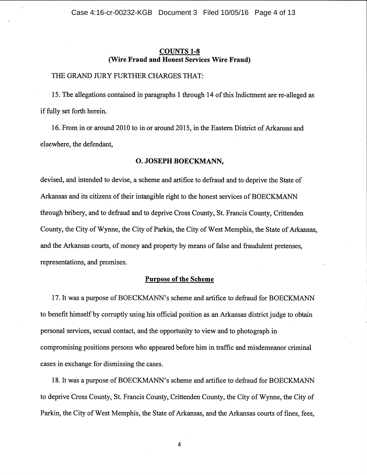# COUNTS 1-8 (Wire Fraud and Honest Services Wire Fraud)

# THE GRAND JURY FURTHER CHARGES THAT:

15. The allegations contained in paragraphs 1 through 14 of this Indictment are re-alleged as if fully set forth herein.

16. From in or around 2010 to in or around 2015, in the Eastern District of Arkansas and elsewhere, the defendant,

## 0. JOSEPH BOECKMANN,

devised, and intended to devise, a scheme and artifice to defraud and to deprive the State of Arkansas and its citizens of their intangible right to the honest services of BOECKMANN through bribery, and to defraud and to deprive Cross County, St. Francis County, Crittenden County, the City of Wynne, the City of Parkin, the City of West Memphis, the State of Arkansas, and the Arkansas courts, of money and property by means of false and fraudulent pretenses, representations, and promises.

### Purpose of the Scheme

17. It was a purpose of BOECKMANN's scheme and artifice to defraud for BOECKMANN to benefit himself by corruptly using his official position as an Arkansas district judge to obtain personal services, sexual contact, and the opportunity to view and to photograph in compromising positions persons who appeared before him in traffic and misdemeanor criminal cases in exchange for dismissing the cases.

. 18. It was a purpose of BOECKMANN' s scheme and artifice to defraud for BOECKMANN to deprive Cross County, St. Francis County, Crittenden County, the City of Wynne, the City of Parkin, the City of West Memphis, the State of Arkansas, and the Arkansas courts of fines, fees,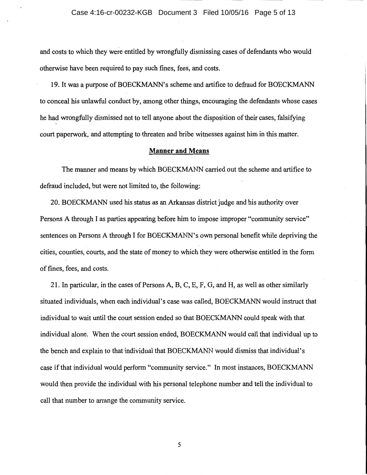and costs to which they were entitled by wrongfully dismissing cases of defendants who would · otherwise have been required to pay such fines, fees, and costs.

19. It was a purpose of BOECKMANN' s scheme and artifice to defraud for BOECKMANN to conceal his unlawful conduct by, among other things, encouraging the defendants whose cases he had wrongfully dismissed not to tell anyone about the disposition of their cases, falsifying court paperwork, and attempting to threaten and bribe witnesses against him in this matter.

### **Manner and Means**

The manner and means by which BOECKMANN carried out the scheme and artifice to defraud included, but were not limited to, the following:

20. BOECKMANN used his status as an Arkansas district judge and his authority over Persons A through I as parties appearing before him to impose improper "community service" sentences on Persons A through I for BOECKMANN's own personal benefit while depriving the cities, counties, courts, and the state of money to which they were otherwise\_entitled in the form of fines, fees, and costs.

21. In particular, in the cases of Persons A, B, C, E, F, G, and H, as well as other similarly situated individuals, when each individual's case was called, BOECKMANN would instruct that individual to wait until the court session ended so that BOECKMANN could speak with that individual alone. When the court session ended, BOECKMANN would call that individual up to the bench and explain to that individual that BOECKMANN would dismiss that individual's case ifthat individual would perform "community service." In most instances, BOECKMANN would then provide the individual with his personal telephone number and tell the individual to call that number to arrange the community service.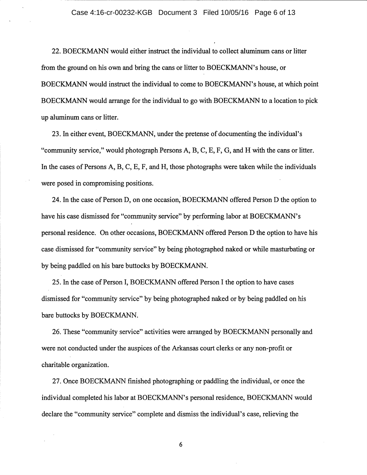22. BOECKMANN would either instruct the individual to collect aluminum cans or litter from the ground on his own and bring the cans or litter to BOECKMANN's house, or BOECKMANN would instruct the individual to come to BOECKMANN's house, at which point BOECKMANN would arrange for the individual to go with BOECKMANN to a location to pick up aluminum cans or litter.

23. In either event, BOECKMANN, under the pretense of documenting the individual's "community service," would photograph Persons A, B, C, E, F, G, and H with the cans or litter. In the cases of Persons A, B, C, E, F, and H, those photographs were taken while the individuals were posed in compromising positions.

24. In the case of Person D, on one occasion; BOECKMANN offered Person D the option to have his case dismissed for "community service" by performing labor at BOECKMANN's personal residence. On other occasions, BOECKMANN offered Person D the option to have his case dismissed for "community service" by being photographed naked or while masturbating or by being paddled on his bare buttocks by BOECKMANN.

25. In the case of Person I, BOECKMANN offered Person I the option to have cases dismissed for "community service" by being photographed naked or by being paddled on his bare buttocks by BOECKMANN.

26. These "community service" activities were arranged by BOECKMANN personally and were not conducted under the auspices of the Arkansas court clerks or any non-profit or charitable organization.

27. Once BOECKMANN finished photographing or paddling the individual, or once the individual completed his labor at BOECKMANN's personal residence, BOECKMANN would declare the "community service" complete and dismiss the individual's case, relieving the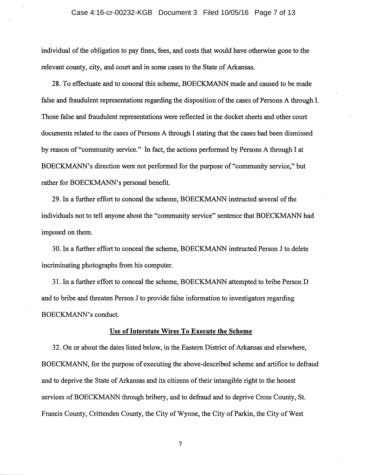#### Case 4:16-cr-00232-KGB Document 3 Filed 10/05/16 Page 7 of 13

individual of the obligation to pay fines, fees, and costs that would have otherwise gone to the relevant county, city, and court and in some cases to the State of Arkansas.

28. To effectuate and to conceal this scheme, BOECKMANN made and caused to be made false and fraudulent representations regarding the disposition of the cases of Persons A through I. Those false and fraudulent representations were reflected in the docket sheets and other court documents related to the cases of Persons A through I stating that the cases had been dismissed by reason of"community service." In fact, the actions performed by Persons A through I at BOECKMANN's direction were not performed for the purpose of "community service," but rather for BOECKMANN's personal benefit.

29. In a further effort to conceal the scheme, BOECKMANN instructed several of the individuals not to tell anyone about the "community service" sentence that BOECKMANN had imposed on them.

30. In a further effort to conceal the scheme, BOECKMANN instructed Person J to delete incriminating photographs from his computer.

31. In a further effort to conceal the scheme, BOECKMANN attempted to bribe Person D and to bribe and threaten Person J to provide false information to investigators regarding BOECKMANN's conduct.

### Use of Interstate Wires To Execute the Scheme

32. On or about the dates listed below, in the Eastern District of Arkansas and elsewhere, BOECKMANN, for the purpose of executing the above-described scheme and artifice to defraud and to deprive the State of Arkansas and its citizens of their intangible right to the honest services of BOECKMANN through bribery, and to defraud and to deprive Cross County, St. Francis County, Crittenden County, the City of Wynne, the City of Parkin, the City of West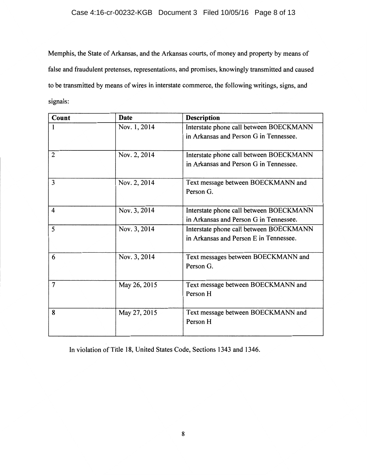# Case 4:16-cr-00232-KGB Document 3 Filed 10/05/16 Page 8 of 13

Memphis, the State of Arkansas, and the Arkansas courts, of money and property by means of false and fraudulent pretenses, representations, and promises, knowingly transmitted and caused to be transmitted by means of wires in interstate commerce, the following writings, signs, and signals:

| Count          | Date         | <b>Description</b>                      |
|----------------|--------------|-----------------------------------------|
|                | Nov. 1, 2014 | Interstate phone call between BOECKMANN |
|                |              | in Arkansas and Person G in Tennessee.  |
| $\overline{2}$ | Nov. 2, 2014 | Interstate phone call between BOECKMANN |
|                |              | in Arkansas and Person G in Tennessee.  |
| 3              | Nov. 2, 2014 | Text message between BOECKMANN and      |
|                |              | Person G.                               |
| $\overline{4}$ | Nov. 3, 2014 | Interstate phone call between BOECKMANN |
|                |              | in Arkansas and Person G in Tennessee.  |
| 5              | Nov. 3, 2014 | Interstate phone call between BOECKMANN |
|                |              | in Arkansas and Person E in Tennessee.  |
| 6              | Nov. 3, 2014 | Text messages between BOECKMANN and     |
|                |              | Person G.                               |
| $\overline{7}$ | May 26, 2015 | Text message between BOECKMANN and      |
|                |              | Person H                                |
| 8              | May 27, 2015 | Text message between BOECKMANN and      |
|                |              | Person H                                |

In violation of Title 18, United States Code, Sections 1343 and 1346.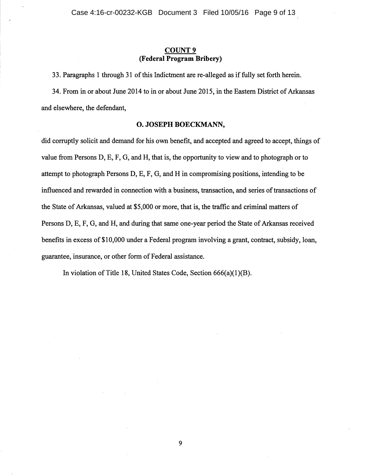# **COUNT9 (Federal Program Bribery)**

33. Paragraphs **1** through 31 of this Indictment are re-alleged as if fully set forth herein.

34. From in or about June 2014 to in or about June 2015, in the Eastern District of Arkansas and elsewhere, the defendant,

## **0. JOSEPH BOECKMANN,**

did corruptly solicit and demand for his own benefit, and accepted and agreed to accept, things of value from Persons D, E, F, G, and H, that is, the opportunity to view and to photograph or to attempt to photograph Persons D, E, F, G, and Hin compromising positions, intending to be influenced and rewarded in connection with a business, transaction, and series of transactions of the State of Arkansas, valued at \$5,000 or more, that is, the traffic and criminal matters of Persons D, E, F, G, and H, and during that same one-year period the State of Arkansas received benefits in excess of \$10,000 under a Federal program involving a grant, contract, subsidy, loan, guarantee, insurance, or other form of Federal assistance.

In violation of Title 18, United States Code, Section 666(a)(1)(B).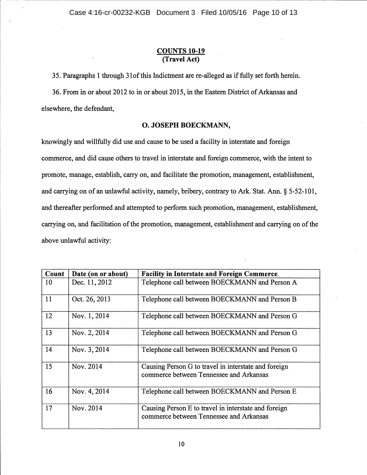# COUNTS 10-19 (Travel Act)

3 5. Paragraphs 1 through 31 of this Indictment are re-alleged as if fully set forth herein.

36. From in or about 2012 to in or about 2015, in the Eastern District of Arkansas and elsewhere, the defendant,

# 0. JOSEPH BOECKMANN,

knowingly and willfully did use and cause to be used a facility in interstate and foreign commerce, and did cause others to travel in interstate and foreign commerce, with the intent to promote, manage, establish, carry on, and facilitate the promotion, management, establishment, and carrying on of an unlawful activity, namely, bribery, contrary to Ark. Stat. Ann.§ 5-52-101, and thereafter performed and attempted to perform such promotion, management, establishment, carrying on, and facilitation of the promotion, management, establishment and carrying on of the above unlawful activity:

| Count | Date (on or about) | <b>Facility in Interstate and Foreign Commerce</b>                                              |
|-------|--------------------|-------------------------------------------------------------------------------------------------|
| 10    | Dec. 11, 2012      | Telephone call between BOECKMANN and Person A                                                   |
| 11    | Oct. 26, 2013      | Telephone call between BOECKMANN and Person B                                                   |
| 12    | Nov. 1, 2014       | Telephone call between BOECKMANN and Person G                                                   |
| 13    | Nov. 2, 2014       | Telephone call between BOECKMANN and Person G                                                   |
| 14    | Nov. 3, 2014       | Telephone call between BOECKMANN and Person G                                                   |
| 15    | Nov. 2014          | Causing Person G to travel in interstate and foreign<br>commerce between Tennessee and Arkansas |
| 16    | Nov. 4, 2014       | Telephone call between BOECKMANN and Person E                                                   |
| 17    | Nov. 2014          | Causing Person E to travel in interstate and foreign<br>commerce between Tennessee and Arkansas |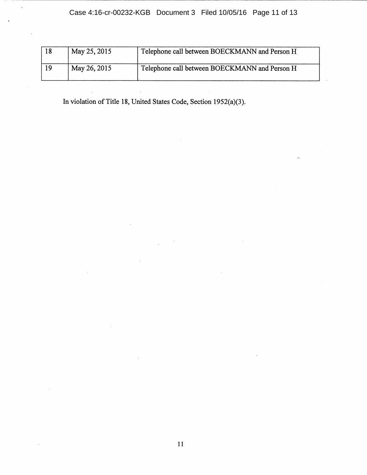| 18 | May 25, 2015 | Telephone call between BOECKMANN and Person H |
|----|--------------|-----------------------------------------------|
| 19 | May 26, 2015 | Telephone call between BOECKMANN and Person H |

In violation of Title 18, United States Code, Section 1952(a)(3).

 $\mathcal{A}$ 

 $\bar{\epsilon}$ 

 $\bar{z}$ 

 $\sim$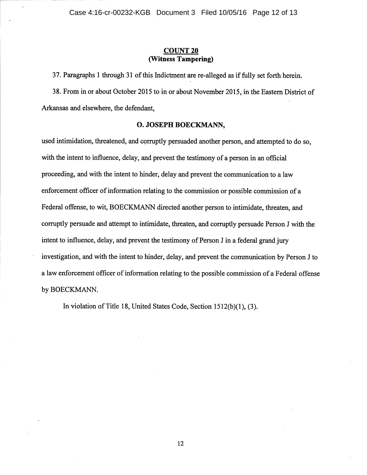# **COUNT20 (Witness Tampering)**

3 7. Paragraphs **1** through 31 of this Indictment are re-alleged as if fully set forth herein.

38. From in or about October 2015 to in or about November 2015, in the Eastern District of Arkansas and elsewhere, the defendant,

## **0. JOSEPH BOECKMANN,**

used intimidation, threatened, and corruptly persuaded another person, and attempted to do so, with the intent to influence, delay, and prevent the testimony of a person in an official proceeding, and with the intent to hinder, delay and prevent the communication to a law enforcement officer of information relating to the commission or possible commission of a Federal offense, to wit, BOECKMANN directed another person to intimidate, threaten, and corruptly persuade and attempt to intimidate, threaten, and corruptly persuade Person J with the intent to influence, delay, and prevent the testimony of Person J in a federal grand jury investigation, and with the intent to hinder, delay, and prevent the communication by Person J to a law enforcement officer of information relating to the possible commission of a Federal offense by BOECKMANN.

In violation of Title 18, United States Code, Section 1512(b)(l), (3).